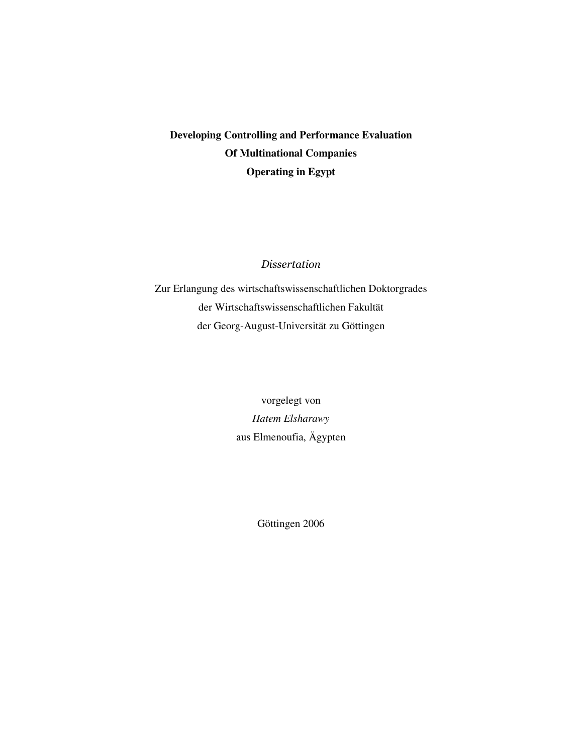# **Developing Controlling and Performance Evaluation Of Multinational Companies Operating in Egypt**

#### *Dissertation*

Zur Erlangung des wirtschaftswissenschaftlichen Doktorgrades der Wirtschaftswissenschaftlichen Fakultät der Georg-August-Universität zu Göttingen

> vorgelegt von *Hatem Elsharawy* aus Elmenoufia, Ägypten

> > Göttingen 2006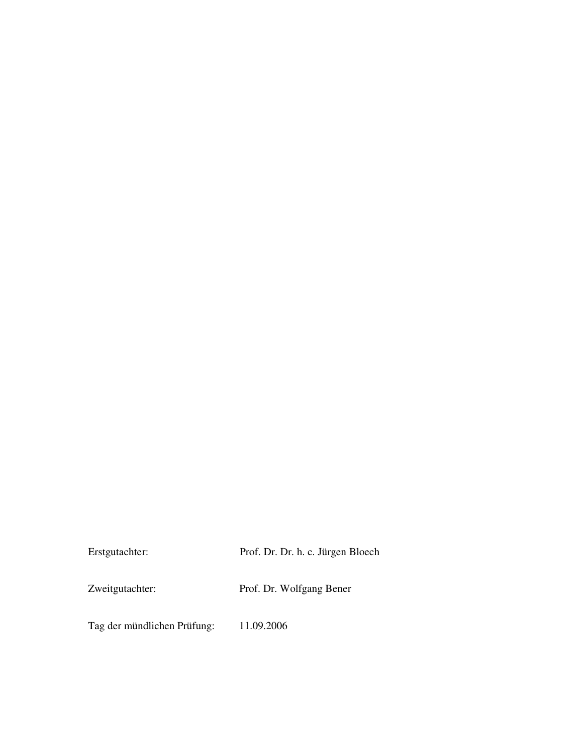| Erstgutachter:  | Prof. Dr. Dr. h. c. Jürgen Bloech |
|-----------------|-----------------------------------|
| Zweitgutachter: | Prof. Dr. Wolfgang Bener          |
|                 |                                   |

Tag der mündlichen Prüfung: 11.09.2006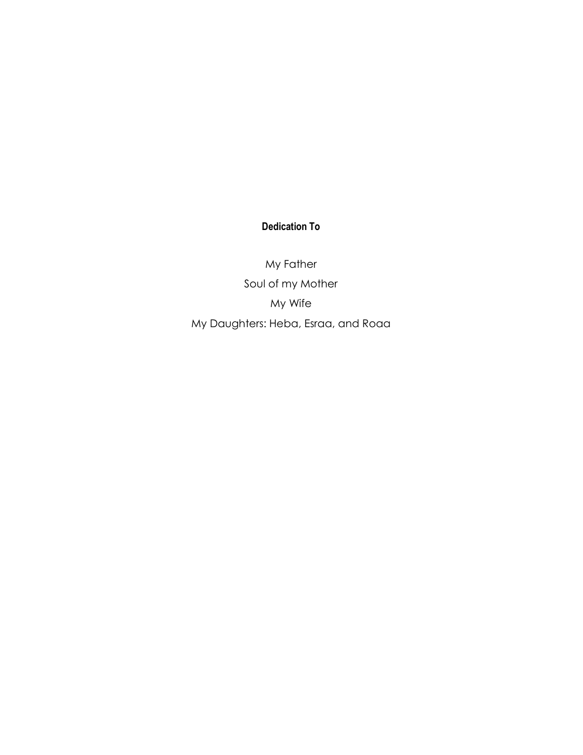# **Dedication To**

My Father Soul of my Mother My Wife My Daughters: Heba, Esraa, and Roaa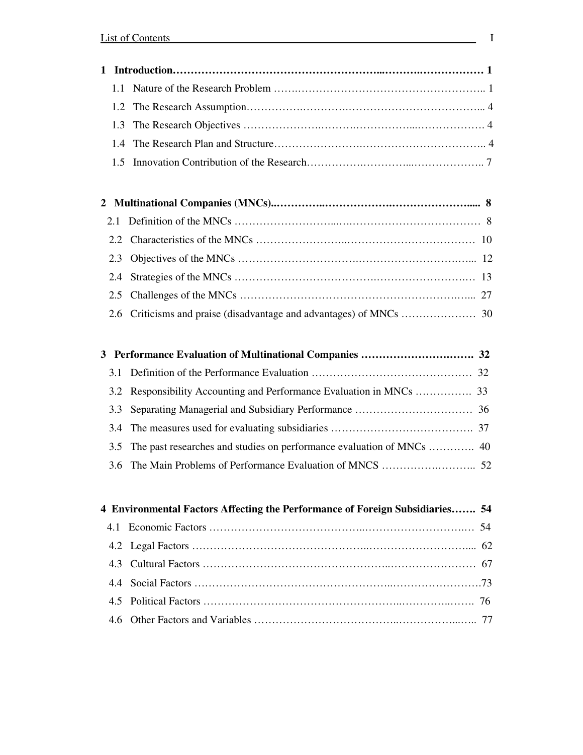|  | 4 Environmental Factors Affecting the Performance of Foreign Subsidiaries 54 |  |
|--|------------------------------------------------------------------------------|--|
|  |                                                                              |  |
|  |                                                                              |  |
|  |                                                                              |  |
|  |                                                                              |  |
|  |                                                                              |  |
|  |                                                                              |  |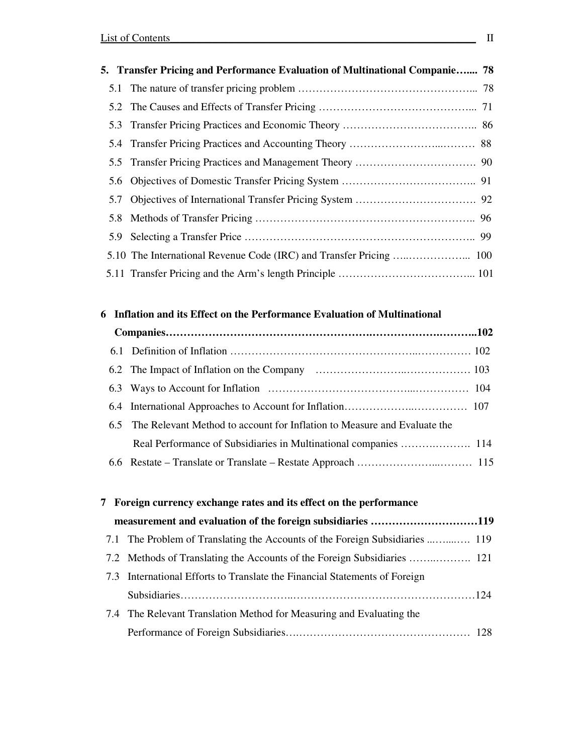| 5. Transfer Pricing and Performance Evaluation of Multinational Companie 78 |  |
|-----------------------------------------------------------------------------|--|
|                                                                             |  |
|                                                                             |  |
|                                                                             |  |
|                                                                             |  |
|                                                                             |  |
|                                                                             |  |
|                                                                             |  |
|                                                                             |  |
|                                                                             |  |
|                                                                             |  |
|                                                                             |  |

## **6 Inflation and its Effect on the Performance Evaluation of Multinational**

| 6.5 The Relevant Method to account for Inflation to Measure and Evaluate the |  |
|------------------------------------------------------------------------------|--|
|                                                                              |  |
|                                                                              |  |

|  | 7 Foreign currency exchange rates and its effect on the performance          |  |
|--|------------------------------------------------------------------------------|--|
|  | measurement and evaluation of the foreign subsidiaries 119                   |  |
|  | 7.1 The Problem of Translating the Accounts of the Foreign Subsidiaries  119 |  |
|  |                                                                              |  |
|  | 7.3 International Efforts to Translate the Financial Statements of Foreign   |  |
|  |                                                                              |  |
|  | 7.4 The Relevant Translation Method for Measuring and Evaluating the         |  |
|  |                                                                              |  |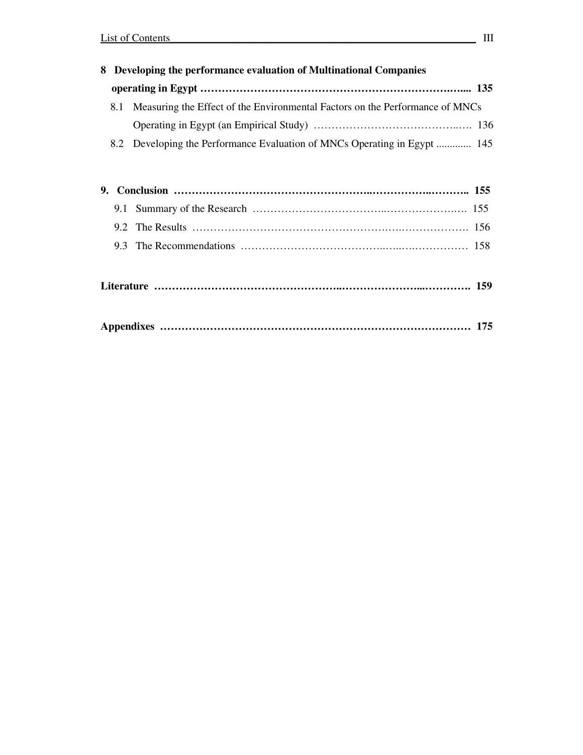|    |     | 8 Developing the performance evaluation of Multinational Companies           |  |
|----|-----|------------------------------------------------------------------------------|--|
|    |     |                                                                              |  |
|    | 8.1 | Measuring the Effect of the Environmental Factors on the Performance of MNCs |  |
|    |     |                                                                              |  |
|    |     | 8.2 Developing the Performance Evaluation of MNCs Operating in Egypt  145    |  |
|    |     |                                                                              |  |
| 9. |     |                                                                              |  |
|    |     |                                                                              |  |
|    |     |                                                                              |  |
|    |     |                                                                              |  |
|    |     |                                                                              |  |
|    |     |                                                                              |  |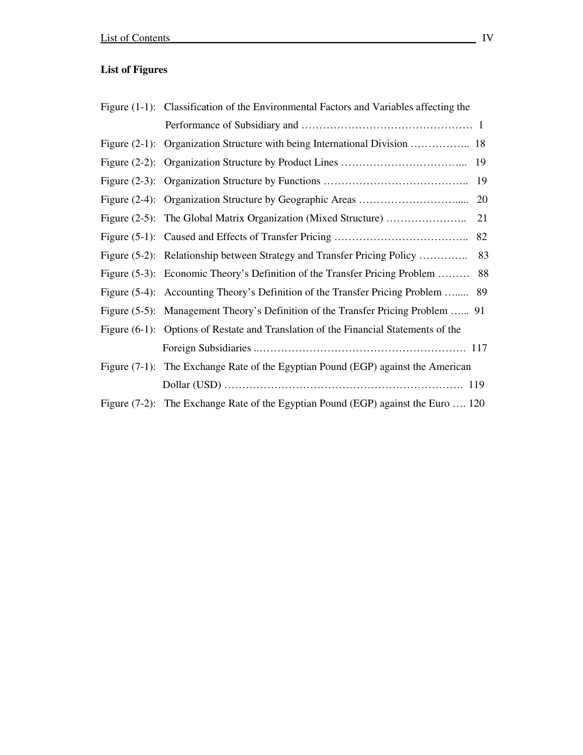## **List of Figures**

| Figure (1-1): Classification of the Environmental Factors and Variables affecting the |    |
|---------------------------------------------------------------------------------------|----|
|                                                                                       |    |
| Figure (2-1): Organization Structure with being International Division  18            |    |
|                                                                                       |    |
|                                                                                       |    |
|                                                                                       |    |
|                                                                                       | 21 |
|                                                                                       | 82 |
| Figure (5-2): Relationship between Strategy and Transfer Pricing Policy  83           |    |
| Figure (5-3): Economic Theory's Definition of the Transfer Pricing Problem  88        |    |
| Figure (5-4): Accounting Theory's Definition of the Transfer Pricing Problem  89      |    |
| Figure (5-5): Management Theory's Definition of the Transfer Pricing Problem  91      |    |
| Figure (6-1): Options of Restate and Translation of the Financial Statements of the   |    |
|                                                                                       |    |
| Figure $(7-1)$ : The Exchange Rate of the Egyptian Pound (EGP) against the American   |    |
|                                                                                       |    |
| Figure (7-2): The Exchange Rate of the Egyptian Pound (EGP) against the Euro  120     |    |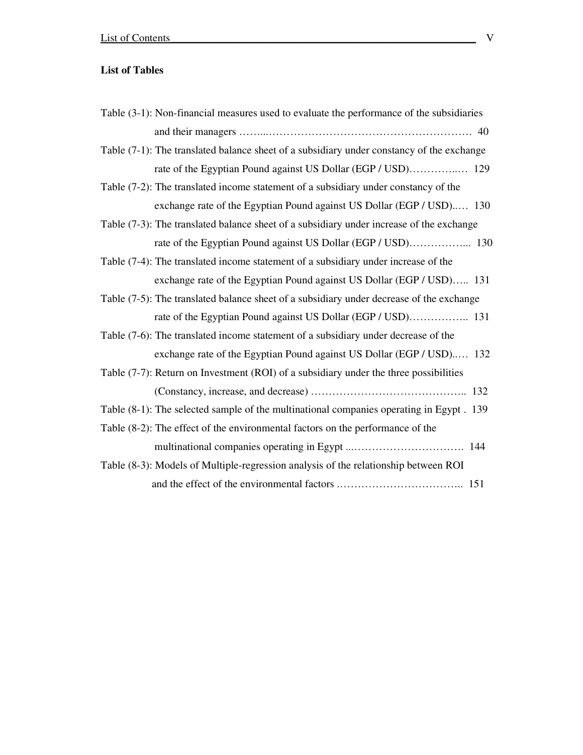### **List of Tables**

| Table (3-1): Non-financial measures used to evaluate the performance of the subsidiaries  |
|-------------------------------------------------------------------------------------------|
|                                                                                           |
| Table (7-1): The translated balance sheet of a subsidiary under constancy of the exchange |
|                                                                                           |
| Table (7-2): The translated income statement of a subsidiary under constancy of the       |
| exchange rate of the Egyptian Pound against US Dollar (EGP / USD) 130                     |
| Table (7-3): The translated balance sheet of a subsidiary under increase of the exchange  |
|                                                                                           |
| Table (7-4): The translated income statement of a subsidiary under increase of the        |
| exchange rate of the Egyptian Pound against US Dollar (EGP / USD) 131                     |
| Table (7-5): The translated balance sheet of a subsidiary under decrease of the exchange  |
|                                                                                           |
| Table (7-6): The translated income statement of a subsidiary under decrease of the        |
| exchange rate of the Egyptian Pound against US Dollar (EGP / USD) 132                     |
| Table (7-7): Return on Investment (ROI) of a subsidiary under the three possibilities     |
|                                                                                           |
| Table (8-1): The selected sample of the multinational companies operating in Egypt. 139   |
| Table (8-2): The effect of the environmental factors on the performance of the            |
|                                                                                           |
| Table (8-3): Models of Multiple-regression analysis of the relationship between ROI       |
|                                                                                           |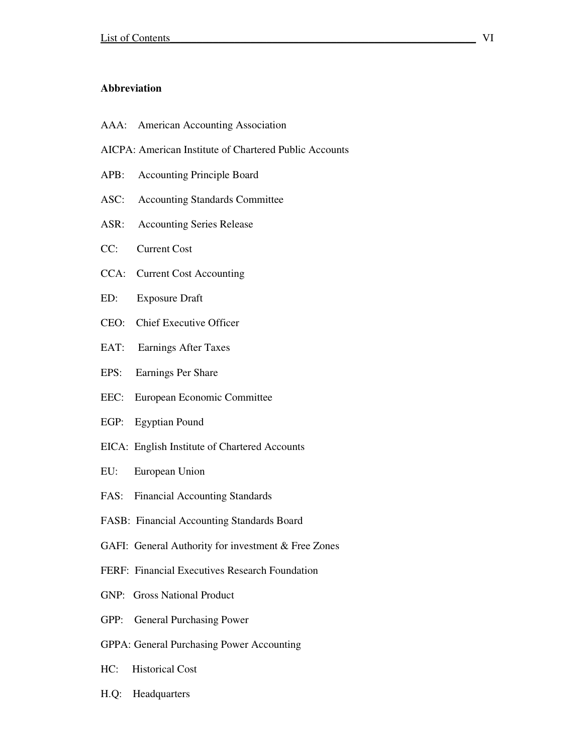#### **Abbreviation**

- AAA: American Accounting Association
- AICPA: American Institute of Chartered Public Accounts
- APB: Accounting Principle Board
- ASC: Accounting Standards Committee
- ASR: Accounting Series Release
- CC: Current Cost
- CCA: Current Cost Accounting
- ED: Exposure Draft
- CEO: Chief Executive Officer
- EAT: Earnings After Taxes
- EPS: Earnings Per Share
- EEC: European Economic Committee
- EGP: Egyptian Pound
- EICA: English Institute of Chartered Accounts
- EU: European Union
- FAS: Financial Accounting Standards
- FASB: Financial Accounting Standards Board
- GAFI: General Authority for investment & Free Zones
- FERF: Financial Executives Research Foundation
- GNP: Gross National Product
- GPP: General Purchasing Power
- GPPA: General Purchasing Power Accounting
- HC: Historical Cost
- H.Q: Headquarters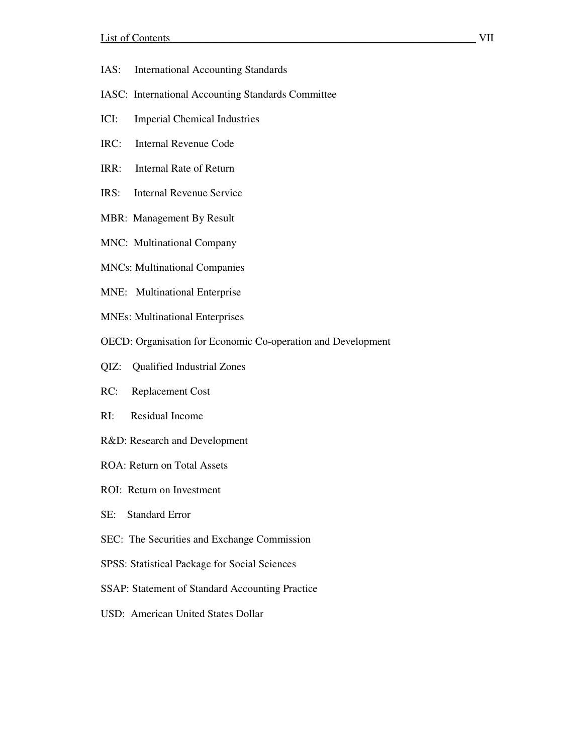- IAS: International Accounting Standards
- IASC: International Accounting Standards Committee
- ICI: Imperial Chemical Industries
- IRC: Internal Revenue Code
- IRR: Internal Rate of Return
- IRS: Internal Revenue Service
- MBR: Management By Result
- MNC: Multinational Company
- MNCs: Multinational Companies
- MNE: Multinational Enterprise
- MNEs: Multinational Enterprises
- OECD: Organisation for Economic Co-operation and Development
- QIZ: Qualified Industrial Zones
- RC: Replacement Cost
- RI: Residual Income
- R&D: Research and Development
- ROA: Return on Total Assets
- ROI: Return on Investment
- SE: Standard Error
- SEC: The Securities and Exchange Commission
- SPSS: Statistical Package for Social Sciences
- SSAP: Statement of Standard Accounting Practice
- USD: American United States Dollar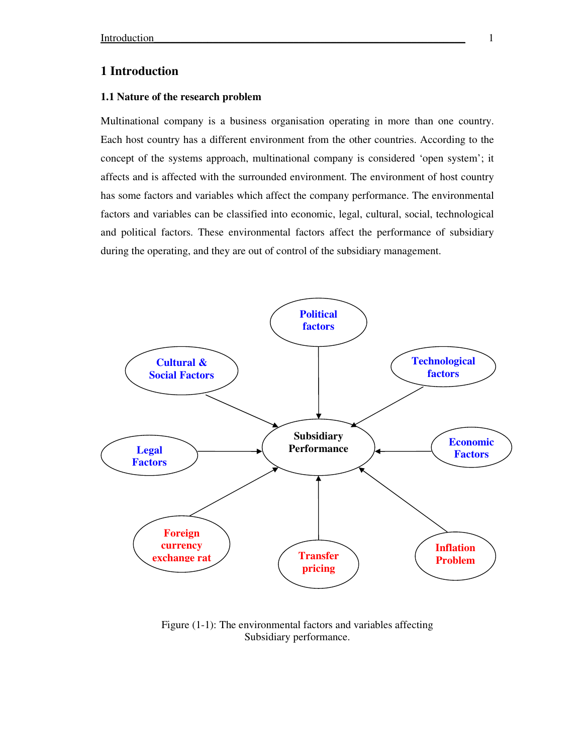#### **1 Introduction**

#### **1.1 Nature of the research problem**

Multinational company is a business organisation operating in more than one country. Each host country has a different environment from the other countries. According to the concept of the systems approach, multinational company is considered 'open system'; it affects and is affected with the surrounded environment. The environment of host country has some factors and variables which affect the company performance. The environmental factors and variables can be classified into economic, legal, cultural, social, technological and political factors. These environmental factors affect the performance of subsidiary during the operating, and they are out of control of the subsidiary management.



Figure (1-1): The environmental factors and variables affecting Subsidiary performance.